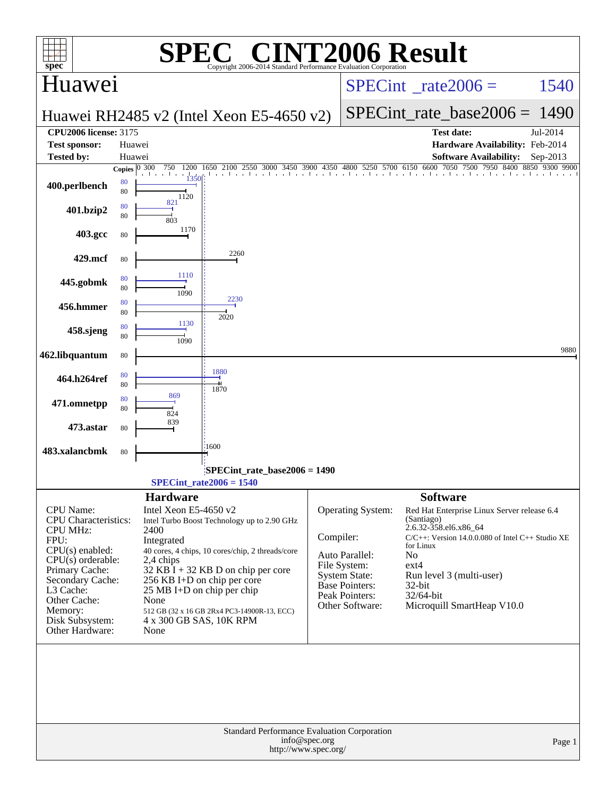| $spec^*$                                                                                                                                                                                                                     | $\bigwedge$<br>Copyright 2006-2014 Standard Performance Evaluation Corporation                                                                                                                                                                                                                                                                                                                       | <b>INT2006 Result</b>                                                                                                                                                                                                                                                                                                                                                                                               |
|------------------------------------------------------------------------------------------------------------------------------------------------------------------------------------------------------------------------------|------------------------------------------------------------------------------------------------------------------------------------------------------------------------------------------------------------------------------------------------------------------------------------------------------------------------------------------------------------------------------------------------------|---------------------------------------------------------------------------------------------------------------------------------------------------------------------------------------------------------------------------------------------------------------------------------------------------------------------------------------------------------------------------------------------------------------------|
| Huawei                                                                                                                                                                                                                       |                                                                                                                                                                                                                                                                                                                                                                                                      | $SPECint^{\circ}$ rate $2006 =$<br>1540                                                                                                                                                                                                                                                                                                                                                                             |
|                                                                                                                                                                                                                              | Huawei RH2485 v2 (Intel Xeon E5-4650 v2)                                                                                                                                                                                                                                                                                                                                                             | $SPECint_rate_base2006 = 1490$                                                                                                                                                                                                                                                                                                                                                                                      |
| <b>CPU2006 license: 3175</b>                                                                                                                                                                                                 |                                                                                                                                                                                                                                                                                                                                                                                                      | Jul-2014<br><b>Test date:</b>                                                                                                                                                                                                                                                                                                                                                                                       |
| <b>Test sponsor:</b>                                                                                                                                                                                                         | Huawei                                                                                                                                                                                                                                                                                                                                                                                               | Hardware Availability: Feb-2014                                                                                                                                                                                                                                                                                                                                                                                     |
| <b>Tested by:</b>                                                                                                                                                                                                            | Huawei<br>Copies $\overline{0\,300}$<br>750                                                                                                                                                                                                                                                                                                                                                          | <b>Software Availability:</b><br>Sep-2013<br>1200 1650 2100 2550 3000 3450 3900 4350 4800 5250 5700 6150 6600 7050 7500 7950 8400 8850 9300 9900                                                                                                                                                                                                                                                                    |
| 400.perlbench                                                                                                                                                                                                                | and a<br>1350<br>$\mathbf{u}$<br>80<br>80<br>1120                                                                                                                                                                                                                                                                                                                                                    | 1 A 201 A 201 A 201 A 201 A 201 A 201 A 201 A 201 A 201 A 202 A 202 A 202 A 202 A 20                                                                                                                                                                                                                                                                                                                                |
| 401.bzip2                                                                                                                                                                                                                    | 821<br>80<br>80<br>803                                                                                                                                                                                                                                                                                                                                                                               |                                                                                                                                                                                                                                                                                                                                                                                                                     |
| 403.gcc                                                                                                                                                                                                                      | 1170<br>80                                                                                                                                                                                                                                                                                                                                                                                           |                                                                                                                                                                                                                                                                                                                                                                                                                     |
| 429.mcf                                                                                                                                                                                                                      | 2260<br>80                                                                                                                                                                                                                                                                                                                                                                                           |                                                                                                                                                                                                                                                                                                                                                                                                                     |
| 445.gobmk                                                                                                                                                                                                                    | 1110<br>80<br>80<br>1090                                                                                                                                                                                                                                                                                                                                                                             |                                                                                                                                                                                                                                                                                                                                                                                                                     |
| 456.hmmer                                                                                                                                                                                                                    | 2230<br>80<br>80<br>2020                                                                                                                                                                                                                                                                                                                                                                             |                                                                                                                                                                                                                                                                                                                                                                                                                     |
| 458.sjeng                                                                                                                                                                                                                    | 1130<br>80<br>80<br>1090                                                                                                                                                                                                                                                                                                                                                                             |                                                                                                                                                                                                                                                                                                                                                                                                                     |
| 462.libquantum                                                                                                                                                                                                               | 80<br>1880                                                                                                                                                                                                                                                                                                                                                                                           | 9880                                                                                                                                                                                                                                                                                                                                                                                                                |
| 464.h264ref                                                                                                                                                                                                                  | 80<br>80<br>1870<br>869                                                                                                                                                                                                                                                                                                                                                                              |                                                                                                                                                                                                                                                                                                                                                                                                                     |
| 471.omnetpp                                                                                                                                                                                                                  | 80<br>80<br>824                                                                                                                                                                                                                                                                                                                                                                                      |                                                                                                                                                                                                                                                                                                                                                                                                                     |
| 473.astar                                                                                                                                                                                                                    | 839<br>80                                                                                                                                                                                                                                                                                                                                                                                            |                                                                                                                                                                                                                                                                                                                                                                                                                     |
| 483.xalancbmk                                                                                                                                                                                                                | 1600<br>80                                                                                                                                                                                                                                                                                                                                                                                           |                                                                                                                                                                                                                                                                                                                                                                                                                     |
|                                                                                                                                                                                                                              | SPECint_rate_base2006 = 1490<br>$SPECint_rate2006 = 1540$                                                                                                                                                                                                                                                                                                                                            |                                                                                                                                                                                                                                                                                                                                                                                                                     |
| CPU Name:<br>CPU Characteristics:<br><b>CPU MHz:</b><br>FPU:<br>$CPU(s)$ enabled:<br>$CPU(s)$ orderable:<br>Primary Cache:<br>Secondary Cache:<br>L3 Cache:<br>Other Cache:<br>Memory:<br>Disk Subsystem:<br>Other Hardware: | <b>Hardware</b><br>Intel Xeon E5-4650 v2<br>Intel Turbo Boost Technology up to 2.90 GHz<br>2400<br>Compiler:<br>Integrated<br>40 cores, 4 chips, 10 cores/chip, 2 threads/core<br>2,4 chips<br>$32$ KB I + 32 KB D on chip per core<br>256 KB I+D on chip per core<br>$25 \text{ MB I+D}$ on chip per chip<br>None<br>512 GB (32 x 16 GB 2Rx4 PC3-14900R-13, ECC)<br>4 x 300 GB SAS, 10K RPM<br>None | <b>Software</b><br>Operating System:<br>Red Hat Enterprise Linux Server release 6.4<br>(Santiago)<br>2.6.32-358.el6.x86_64<br>$C/C++$ : Version 14.0.0.080 of Intel $C++$ Studio XE<br>for Linux<br>Auto Parallel:<br>No<br>File System:<br>ext4<br><b>System State:</b><br>Run level 3 (multi-user)<br>Base Pointers:<br>$32$ -bit<br>Peak Pointers:<br>32/64-bit<br>Other Software:<br>Microquill SmartHeap V10.0 |
|                                                                                                                                                                                                                              | Standard Performance Evaluation Corporation<br>info@spec.org<br>http://www.spec.org/                                                                                                                                                                                                                                                                                                                 | Page 1                                                                                                                                                                                                                                                                                                                                                                                                              |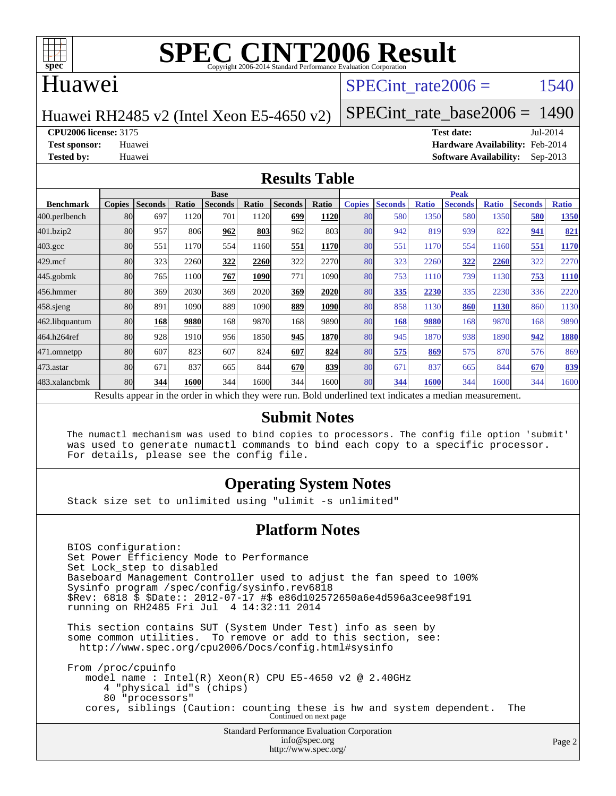

#### Huawei

#### SPECint rate $2006 = 1540$

Huawei RH2485 v2 (Intel Xeon E5-4650 v2)

[SPECint\\_rate\\_base2006 =](http://www.spec.org/auto/cpu2006/Docs/result-fields.html#SPECintratebase2006) 1490

**[CPU2006 license:](http://www.spec.org/auto/cpu2006/Docs/result-fields.html#CPU2006license)** 3175 **[Test date:](http://www.spec.org/auto/cpu2006/Docs/result-fields.html#Testdate)** Jul-2014

**[Test sponsor:](http://www.spec.org/auto/cpu2006/Docs/result-fields.html#Testsponsor)** Huawei **[Hardware Availability:](http://www.spec.org/auto/cpu2006/Docs/result-fields.html#HardwareAvailability)** Feb-2014 **[Tested by:](http://www.spec.org/auto/cpu2006/Docs/result-fields.html#Testedby)** Huawei **[Software Availability:](http://www.spec.org/auto/cpu2006/Docs/result-fields.html#SoftwareAvailability)** Sep-2013

#### **[Results Table](http://www.spec.org/auto/cpu2006/Docs/result-fields.html#ResultsTable)**

|                                                                                                          | <b>Base</b>   |                |       |                |       |                |             | <b>Peak</b>   |                |              |                |              |                |              |
|----------------------------------------------------------------------------------------------------------|---------------|----------------|-------|----------------|-------|----------------|-------------|---------------|----------------|--------------|----------------|--------------|----------------|--------------|
| <b>Benchmark</b>                                                                                         | <b>Copies</b> | <b>Seconds</b> | Ratio | <b>Seconds</b> | Ratio | <b>Seconds</b> | Ratio       | <b>Copies</b> | <b>Seconds</b> | <b>Ratio</b> | <b>Seconds</b> | <b>Ratio</b> | <b>Seconds</b> | <b>Ratio</b> |
| 400.perlbench                                                                                            | 80            | 697            | 1120  | 701            | 1120  | 699            | <b>1120</b> | 80            | 580            | 1350         | 580            | 1350         | 580            | 1350         |
| 401.bzip2                                                                                                | 80            | 957            | 806   | 962            | 803   | 962            | 803         | 80            | 942            | 819          | 939            | 822          | 941            | 821          |
| $403.\mathrm{gcc}$                                                                                       | 80            | 551            | 1170  | 554            | 1160  | 551            | 1170        | 80            | 551            | 1170         | 554            | 1160         | 551            | 1170         |
| $429$ .mcf                                                                                               | 80            | 323            | 2260  | 322            | 2260  | 322            | 2270        | 80            | 323            | 2260         | 322            | 2260         | 322            | 2270         |
| $445$ .gobmk                                                                                             | 80            | 765            | 1100  | 767            | 1090  | 771            | 1090        | 80            | 753            | 1110         | 739            | 1130         | 753            | 1110         |
| 456.hmmer                                                                                                | 80            | 369            | 2030  | 369            | 2020  | 369            | 2020        | 80            | 335            | 2230         | 335            | 2230         | 336            | 2220         |
| 458 sjeng                                                                                                | 80            | 891            | 1090  | 889            | 1090  | 889            | <b>1090</b> | 80            | 858            | 1130         | 860            | <b>1130</b>  | 860            | 1130         |
| 462.libquantum                                                                                           | 80            | 168            | 9880  | 168            | 9870  | 168            | 9890        | 80            | 168            | 9880         | 168            | 9870         | 168            | 9890         |
| 464.h264ref                                                                                              | 80            | 928            | 1910  | 956            | 1850  | 945            | 1870        | 80            | 945            | 1870         | 938            | 1890         | 942            | 1880         |
| 471.omnetpp                                                                                              | 80            | 607            | 823   | 607            | 824   | 607            | 824         | 80            | 575            | 869          | 575            | 870          | 576            | 869          |
| $473.$ astar                                                                                             | 80            | 671            | 837   | 665            | 844   | 670            | 839         | 80            | 671            | 837          | 665            | 844          | 670            | 839          |
| 483.xalancbmk                                                                                            | 80            | 344            | 1600  | 344            | 1600  | 344            | 16001       | 80            | 344            | 1600         | 344            | 1600         | 344            | 1600         |
| Results appear in the order in which they were run. Bold underlined text indicates a median measurement. |               |                |       |                |       |                |             |               |                |              |                |              |                |              |

#### **[Submit Notes](http://www.spec.org/auto/cpu2006/Docs/result-fields.html#SubmitNotes)**

 The numactl mechanism was used to bind copies to processors. The config file option 'submit' was used to generate numactl commands to bind each copy to a specific processor. For details, please see the config file.

#### **[Operating System Notes](http://www.spec.org/auto/cpu2006/Docs/result-fields.html#OperatingSystemNotes)**

Stack size set to unlimited using "ulimit -s unlimited"

#### **[Platform Notes](http://www.spec.org/auto/cpu2006/Docs/result-fields.html#PlatformNotes)**

 BIOS configuration: Set Power Efficiency Mode to Performance Set Lock\_step to disabled Baseboard Management Controller used to adjust the fan speed to 100% Sysinfo program /spec/config/sysinfo.rev6818 \$Rev: 6818 \$ \$Date:: 2012-07-17 #\$ e86d102572650a6e4d596a3cee98f191 running on RH2485 Fri Jul 4 14:32:11 2014

 This section contains SUT (System Under Test) info as seen by some common utilities. To remove or add to this section, see: <http://www.spec.org/cpu2006/Docs/config.html#sysinfo>

 From /proc/cpuinfo model name : Intel(R) Xeon(R) CPU E5-4650 v2 @ 2.40GHz 4 "physical id"s (chips) 80 "processors" cores, siblings (Caution: counting these is hw and system dependent. The Continued on next page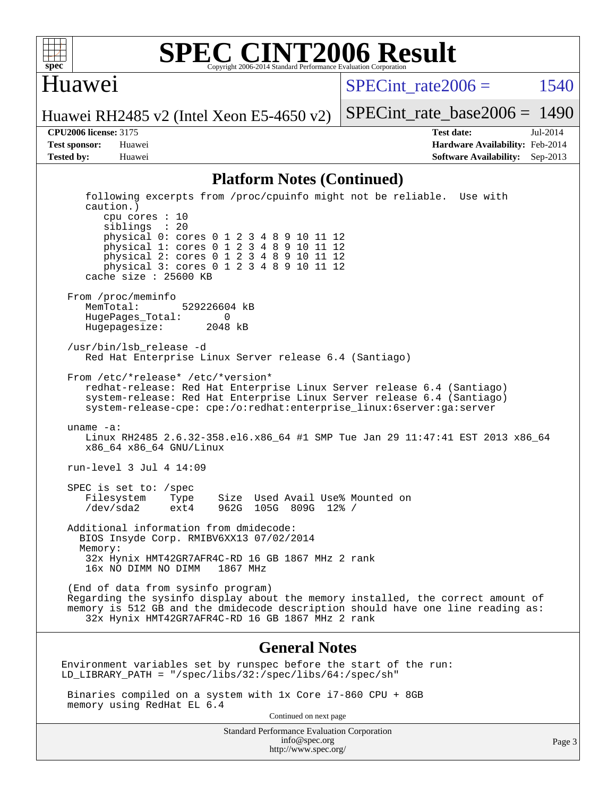

#### Huawei

SPECint rate $2006 = 1540$ 

[SPECint\\_rate\\_base2006 =](http://www.spec.org/auto/cpu2006/Docs/result-fields.html#SPECintratebase2006) 1490

Huawei RH2485 v2 (Intel Xeon E5-4650 v2)

**[CPU2006 license:](http://www.spec.org/auto/cpu2006/Docs/result-fields.html#CPU2006license)** 3175 **[Test date:](http://www.spec.org/auto/cpu2006/Docs/result-fields.html#Testdate)** Jul-2014 **[Test sponsor:](http://www.spec.org/auto/cpu2006/Docs/result-fields.html#Testsponsor)** Huawei **[Hardware Availability:](http://www.spec.org/auto/cpu2006/Docs/result-fields.html#HardwareAvailability)** Feb-2014 **[Tested by:](http://www.spec.org/auto/cpu2006/Docs/result-fields.html#Testedby)** Huawei **[Software Availability:](http://www.spec.org/auto/cpu2006/Docs/result-fields.html#SoftwareAvailability)** Sep-2013

#### **[Platform Notes \(Continued\)](http://www.spec.org/auto/cpu2006/Docs/result-fields.html#PlatformNotes)**

 following excerpts from /proc/cpuinfo might not be reliable. Use with caution.) cpu cores : 10 siblings : 20 physical 0: cores 0 1 2 3 4 8 9 10 11 12 physical 1: cores 0 1 2 3 4 8 9 10 11 12 physical 2: cores 0 1 2 3 4 8 9 10 11 12 physical 3: cores 0 1 2 3 4 8 9 10 11 12 cache size : 25600 KB From /proc/meminfo MemTotal: 529226604 kB HugePages\_Total: 0<br>Hugepagesize: 2048 kB Hugepagesize: /usr/bin/lsb\_release -d Red Hat Enterprise Linux Server release 6.4 (Santiago) From /etc/\*release\* /etc/\*version\* redhat-release: Red Hat Enterprise Linux Server release 6.4 (Santiago) system-release: Red Hat Enterprise Linux Server release 6.4 (Santiago) system-release-cpe: cpe:/o:redhat:enterprise\_linux:6server:ga:server uname -a: Linux RH2485 2.6.32-358.el6.x86\_64 #1 SMP Tue Jan 29 11:47:41 EST 2013 x86\_64 x86\_64 x86\_64 GNU/Linux run-level 3 Jul 4 14:09 SPEC is set to: /spec Filesystem Type Size Used Avail Use% Mounted on<br>
/dev/sda2 ext4 962G 105G 809G 12% / 962G 105G 809G 12% / Additional information from dmidecode: BIOS Insyde Corp. RMIBV6XX13 07/02/2014 Memory: 32x Hynix HMT42GR7AFR4C-RD 16 GB 1867 MHz 2 rank 16x NO DIMM NO DIMM (End of data from sysinfo program) Regarding the sysinfo display about the memory installed, the correct amount of memory is 512 GB and the dmidecode description should have one line reading as: 32x Hynix HMT42GR7AFR4C-RD 16 GB 1867 MHz 2 rank **[General Notes](http://www.spec.org/auto/cpu2006/Docs/result-fields.html#GeneralNotes)** Environment variables set by runspec before the start of the run: LD\_LIBRARY\_PATH = "/spec/libs/32:/spec/libs/64:/spec/sh" Binaries compiled on a system with 1x Core i7-860 CPU + 8GB memory using RedHat EL 6.4 Continued on next page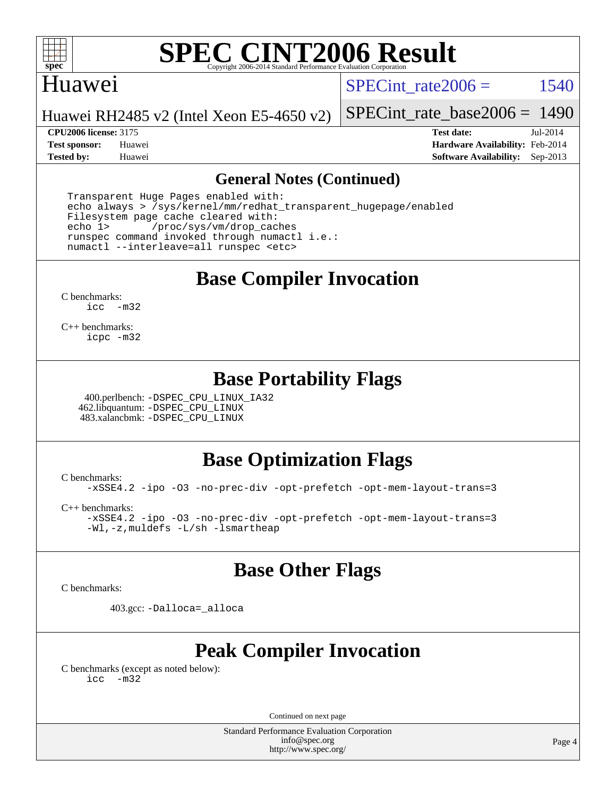

#### Huawei

SPECint rate $2006 = 1540$ 

Huawei RH2485 v2 (Intel Xeon E5-4650 v2)

**[CPU2006 license:](http://www.spec.org/auto/cpu2006/Docs/result-fields.html#CPU2006license)** 3175 **[Test date:](http://www.spec.org/auto/cpu2006/Docs/result-fields.html#Testdate)** Jul-2014

[SPECint\\_rate\\_base2006 =](http://www.spec.org/auto/cpu2006/Docs/result-fields.html#SPECintratebase2006) 1490

**[Test sponsor:](http://www.spec.org/auto/cpu2006/Docs/result-fields.html#Testsponsor)** Huawei **[Hardware Availability:](http://www.spec.org/auto/cpu2006/Docs/result-fields.html#HardwareAvailability)** Feb-2014 **[Tested by:](http://www.spec.org/auto/cpu2006/Docs/result-fields.html#Testedby)** Huawei **[Software Availability:](http://www.spec.org/auto/cpu2006/Docs/result-fields.html#SoftwareAvailability)** Sep-2013

#### **[General Notes \(Continued\)](http://www.spec.org/auto/cpu2006/Docs/result-fields.html#GeneralNotes)**

 Transparent Huge Pages enabled with: echo always > /sys/kernel/mm/redhat\_transparent\_hugepage/enabled Filesystem page cache cleared with: echo 1> /proc/sys/vm/drop\_caches runspec command invoked through numactl i.e.: numactl --interleave=all runspec <etc>

**[Base Compiler Invocation](http://www.spec.org/auto/cpu2006/Docs/result-fields.html#BaseCompilerInvocation)**

[C benchmarks](http://www.spec.org/auto/cpu2006/Docs/result-fields.html#Cbenchmarks): [icc -m32](http://www.spec.org/cpu2006/results/res2014q3/cpu2006-20140704-30344.flags.html#user_CCbase_intel_icc_5ff4a39e364c98233615fdd38438c6f2)

[C++ benchmarks:](http://www.spec.org/auto/cpu2006/Docs/result-fields.html#CXXbenchmarks) [icpc -m32](http://www.spec.org/cpu2006/results/res2014q3/cpu2006-20140704-30344.flags.html#user_CXXbase_intel_icpc_4e5a5ef1a53fd332b3c49e69c3330699)

### **[Base Portability Flags](http://www.spec.org/auto/cpu2006/Docs/result-fields.html#BasePortabilityFlags)**

 400.perlbench: [-DSPEC\\_CPU\\_LINUX\\_IA32](http://www.spec.org/cpu2006/results/res2014q3/cpu2006-20140704-30344.flags.html#b400.perlbench_baseCPORTABILITY_DSPEC_CPU_LINUX_IA32) 462.libquantum: [-DSPEC\\_CPU\\_LINUX](http://www.spec.org/cpu2006/results/res2014q3/cpu2006-20140704-30344.flags.html#b462.libquantum_baseCPORTABILITY_DSPEC_CPU_LINUX) 483.xalancbmk: [-DSPEC\\_CPU\\_LINUX](http://www.spec.org/cpu2006/results/res2014q3/cpu2006-20140704-30344.flags.html#b483.xalancbmk_baseCXXPORTABILITY_DSPEC_CPU_LINUX)

## **[Base Optimization Flags](http://www.spec.org/auto/cpu2006/Docs/result-fields.html#BaseOptimizationFlags)**

[C benchmarks](http://www.spec.org/auto/cpu2006/Docs/result-fields.html#Cbenchmarks):

[-xSSE4.2](http://www.spec.org/cpu2006/results/res2014q3/cpu2006-20140704-30344.flags.html#user_CCbase_f-xSSE42_f91528193cf0b216347adb8b939d4107) [-ipo](http://www.spec.org/cpu2006/results/res2014q3/cpu2006-20140704-30344.flags.html#user_CCbase_f-ipo) [-O3](http://www.spec.org/cpu2006/results/res2014q3/cpu2006-20140704-30344.flags.html#user_CCbase_f-O3) [-no-prec-div](http://www.spec.org/cpu2006/results/res2014q3/cpu2006-20140704-30344.flags.html#user_CCbase_f-no-prec-div) [-opt-prefetch](http://www.spec.org/cpu2006/results/res2014q3/cpu2006-20140704-30344.flags.html#user_CCbase_f-opt-prefetch) [-opt-mem-layout-trans=3](http://www.spec.org/cpu2006/results/res2014q3/cpu2006-20140704-30344.flags.html#user_CCbase_f-opt-mem-layout-trans_a7b82ad4bd7abf52556d4961a2ae94d5)

[C++ benchmarks:](http://www.spec.org/auto/cpu2006/Docs/result-fields.html#CXXbenchmarks)

[-xSSE4.2](http://www.spec.org/cpu2006/results/res2014q3/cpu2006-20140704-30344.flags.html#user_CXXbase_f-xSSE42_f91528193cf0b216347adb8b939d4107) [-ipo](http://www.spec.org/cpu2006/results/res2014q3/cpu2006-20140704-30344.flags.html#user_CXXbase_f-ipo) [-O3](http://www.spec.org/cpu2006/results/res2014q3/cpu2006-20140704-30344.flags.html#user_CXXbase_f-O3) [-no-prec-div](http://www.spec.org/cpu2006/results/res2014q3/cpu2006-20140704-30344.flags.html#user_CXXbase_f-no-prec-div) [-opt-prefetch](http://www.spec.org/cpu2006/results/res2014q3/cpu2006-20140704-30344.flags.html#user_CXXbase_f-opt-prefetch) [-opt-mem-layout-trans=3](http://www.spec.org/cpu2006/results/res2014q3/cpu2006-20140704-30344.flags.html#user_CXXbase_f-opt-mem-layout-trans_a7b82ad4bd7abf52556d4961a2ae94d5) [-Wl,-z,muldefs](http://www.spec.org/cpu2006/results/res2014q3/cpu2006-20140704-30344.flags.html#user_CXXbase_link_force_multiple1_74079c344b956b9658436fd1b6dd3a8a) [-L/sh -lsmartheap](http://www.spec.org/cpu2006/results/res2014q3/cpu2006-20140704-30344.flags.html#user_CXXbase_SmartHeap_32f6c82aa1ed9c52345d30cf6e4a0499)

### **[Base Other Flags](http://www.spec.org/auto/cpu2006/Docs/result-fields.html#BaseOtherFlags)**

[C benchmarks](http://www.spec.org/auto/cpu2006/Docs/result-fields.html#Cbenchmarks):

403.gcc: [-Dalloca=\\_alloca](http://www.spec.org/cpu2006/results/res2014q3/cpu2006-20140704-30344.flags.html#b403.gcc_baseEXTRA_CFLAGS_Dalloca_be3056838c12de2578596ca5467af7f3)

## **[Peak Compiler Invocation](http://www.spec.org/auto/cpu2006/Docs/result-fields.html#PeakCompilerInvocation)**

[C benchmarks \(except as noted below\)](http://www.spec.org/auto/cpu2006/Docs/result-fields.html#Cbenchmarksexceptasnotedbelow): [icc -m32](http://www.spec.org/cpu2006/results/res2014q3/cpu2006-20140704-30344.flags.html#user_CCpeak_intel_icc_5ff4a39e364c98233615fdd38438c6f2)

Continued on next page

Standard Performance Evaluation Corporation [info@spec.org](mailto:info@spec.org) <http://www.spec.org/>

Page 4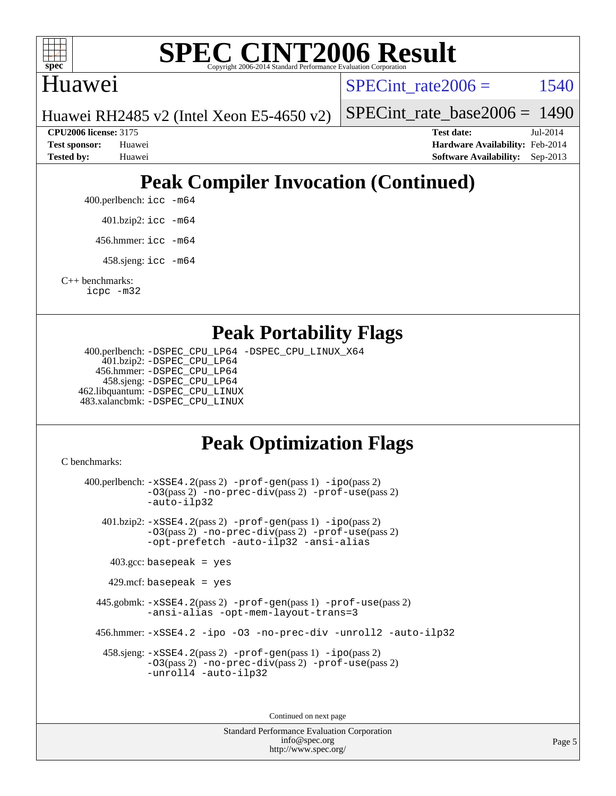

### Huawei

SPECint rate $2006 = 1540$ 

Huawei RH2485 v2 (Intel Xeon E5-4650 v2)

[SPECint\\_rate\\_base2006 =](http://www.spec.org/auto/cpu2006/Docs/result-fields.html#SPECintratebase2006) 1490

**[CPU2006 license:](http://www.spec.org/auto/cpu2006/Docs/result-fields.html#CPU2006license)** 3175 **[Test date:](http://www.spec.org/auto/cpu2006/Docs/result-fields.html#Testdate)** Jul-2014 **[Test sponsor:](http://www.spec.org/auto/cpu2006/Docs/result-fields.html#Testsponsor)** Huawei **[Hardware Availability:](http://www.spec.org/auto/cpu2006/Docs/result-fields.html#HardwareAvailability)** Feb-2014 **[Tested by:](http://www.spec.org/auto/cpu2006/Docs/result-fields.html#Testedby)** Huawei **[Software Availability:](http://www.spec.org/auto/cpu2006/Docs/result-fields.html#SoftwareAvailability)** Sep-2013

# **[Peak Compiler Invocation \(Continued\)](http://www.spec.org/auto/cpu2006/Docs/result-fields.html#PeakCompilerInvocation)**

400.perlbench: [icc -m64](http://www.spec.org/cpu2006/results/res2014q3/cpu2006-20140704-30344.flags.html#user_peakCCLD400_perlbench_intel_icc_64bit_bda6cc9af1fdbb0edc3795bac97ada53)

401.bzip2: [icc -m64](http://www.spec.org/cpu2006/results/res2014q3/cpu2006-20140704-30344.flags.html#user_peakCCLD401_bzip2_intel_icc_64bit_bda6cc9af1fdbb0edc3795bac97ada53)

456.hmmer: [icc -m64](http://www.spec.org/cpu2006/results/res2014q3/cpu2006-20140704-30344.flags.html#user_peakCCLD456_hmmer_intel_icc_64bit_bda6cc9af1fdbb0edc3795bac97ada53)

458.sjeng: [icc -m64](http://www.spec.org/cpu2006/results/res2014q3/cpu2006-20140704-30344.flags.html#user_peakCCLD458_sjeng_intel_icc_64bit_bda6cc9af1fdbb0edc3795bac97ada53)

[C++ benchmarks:](http://www.spec.org/auto/cpu2006/Docs/result-fields.html#CXXbenchmarks) [icpc -m32](http://www.spec.org/cpu2006/results/res2014q3/cpu2006-20140704-30344.flags.html#user_CXXpeak_intel_icpc_4e5a5ef1a53fd332b3c49e69c3330699)

#### **[Peak Portability Flags](http://www.spec.org/auto/cpu2006/Docs/result-fields.html#PeakPortabilityFlags)**

 400.perlbench: [-DSPEC\\_CPU\\_LP64](http://www.spec.org/cpu2006/results/res2014q3/cpu2006-20140704-30344.flags.html#b400.perlbench_peakCPORTABILITY_DSPEC_CPU_LP64) [-DSPEC\\_CPU\\_LINUX\\_X64](http://www.spec.org/cpu2006/results/res2014q3/cpu2006-20140704-30344.flags.html#b400.perlbench_peakCPORTABILITY_DSPEC_CPU_LINUX_X64) 401.bzip2: [-DSPEC\\_CPU\\_LP64](http://www.spec.org/cpu2006/results/res2014q3/cpu2006-20140704-30344.flags.html#suite_peakCPORTABILITY401_bzip2_DSPEC_CPU_LP64) 456.hmmer: [-DSPEC\\_CPU\\_LP64](http://www.spec.org/cpu2006/results/res2014q3/cpu2006-20140704-30344.flags.html#suite_peakCPORTABILITY456_hmmer_DSPEC_CPU_LP64) 458.sjeng: [-DSPEC\\_CPU\\_LP64](http://www.spec.org/cpu2006/results/res2014q3/cpu2006-20140704-30344.flags.html#suite_peakCPORTABILITY458_sjeng_DSPEC_CPU_LP64) 462.libquantum: [-DSPEC\\_CPU\\_LINUX](http://www.spec.org/cpu2006/results/res2014q3/cpu2006-20140704-30344.flags.html#b462.libquantum_peakCPORTABILITY_DSPEC_CPU_LINUX) 483.xalancbmk: [-DSPEC\\_CPU\\_LINUX](http://www.spec.org/cpu2006/results/res2014q3/cpu2006-20140704-30344.flags.html#b483.xalancbmk_peakCXXPORTABILITY_DSPEC_CPU_LINUX)

# **[Peak Optimization Flags](http://www.spec.org/auto/cpu2006/Docs/result-fields.html#PeakOptimizationFlags)**

[C benchmarks](http://www.spec.org/auto/cpu2006/Docs/result-fields.html#Cbenchmarks):

 400.perlbench: [-xSSE4.2](http://www.spec.org/cpu2006/results/res2014q3/cpu2006-20140704-30344.flags.html#user_peakPASS2_CFLAGSPASS2_LDCFLAGS400_perlbench_f-xSSE42_f91528193cf0b216347adb8b939d4107)(pass 2) [-prof-gen](http://www.spec.org/cpu2006/results/res2014q3/cpu2006-20140704-30344.flags.html#user_peakPASS1_CFLAGSPASS1_LDCFLAGS400_perlbench_prof_gen_e43856698f6ca7b7e442dfd80e94a8fc)(pass 1) [-ipo](http://www.spec.org/cpu2006/results/res2014q3/cpu2006-20140704-30344.flags.html#user_peakPASS2_CFLAGSPASS2_LDCFLAGS400_perlbench_f-ipo)(pass 2) [-O3](http://www.spec.org/cpu2006/results/res2014q3/cpu2006-20140704-30344.flags.html#user_peakPASS2_CFLAGSPASS2_LDCFLAGS400_perlbench_f-O3)(pass 2) [-no-prec-div](http://www.spec.org/cpu2006/results/res2014q3/cpu2006-20140704-30344.flags.html#user_peakPASS2_CFLAGSPASS2_LDCFLAGS400_perlbench_f-no-prec-div)(pass 2) [-prof-use](http://www.spec.org/cpu2006/results/res2014q3/cpu2006-20140704-30344.flags.html#user_peakPASS2_CFLAGSPASS2_LDCFLAGS400_perlbench_prof_use_bccf7792157ff70d64e32fe3e1250b55)(pass 2) [-auto-ilp32](http://www.spec.org/cpu2006/results/res2014q3/cpu2006-20140704-30344.flags.html#user_peakCOPTIMIZE400_perlbench_f-auto-ilp32) 401.bzip2: [-xSSE4.2](http://www.spec.org/cpu2006/results/res2014q3/cpu2006-20140704-30344.flags.html#user_peakPASS2_CFLAGSPASS2_LDCFLAGS401_bzip2_f-xSSE42_f91528193cf0b216347adb8b939d4107)(pass 2) [-prof-gen](http://www.spec.org/cpu2006/results/res2014q3/cpu2006-20140704-30344.flags.html#user_peakPASS1_CFLAGSPASS1_LDCFLAGS401_bzip2_prof_gen_e43856698f6ca7b7e442dfd80e94a8fc)(pass 1) [-ipo](http://www.spec.org/cpu2006/results/res2014q3/cpu2006-20140704-30344.flags.html#user_peakPASS2_CFLAGSPASS2_LDCFLAGS401_bzip2_f-ipo)(pass 2) [-O3](http://www.spec.org/cpu2006/results/res2014q3/cpu2006-20140704-30344.flags.html#user_peakPASS2_CFLAGSPASS2_LDCFLAGS401_bzip2_f-O3)(pass 2) [-no-prec-div](http://www.spec.org/cpu2006/results/res2014q3/cpu2006-20140704-30344.flags.html#user_peakPASS2_CFLAGSPASS2_LDCFLAGS401_bzip2_f-no-prec-div)(pass 2) [-prof-use](http://www.spec.org/cpu2006/results/res2014q3/cpu2006-20140704-30344.flags.html#user_peakPASS2_CFLAGSPASS2_LDCFLAGS401_bzip2_prof_use_bccf7792157ff70d64e32fe3e1250b55)(pass 2) [-opt-prefetch](http://www.spec.org/cpu2006/results/res2014q3/cpu2006-20140704-30344.flags.html#user_peakCOPTIMIZE401_bzip2_f-opt-prefetch) [-auto-ilp32](http://www.spec.org/cpu2006/results/res2014q3/cpu2006-20140704-30344.flags.html#user_peakCOPTIMIZE401_bzip2_f-auto-ilp32) [-ansi-alias](http://www.spec.org/cpu2006/results/res2014q3/cpu2006-20140704-30344.flags.html#user_peakCOPTIMIZE401_bzip2_f-ansi-alias)  $403.\text{gcc: basepeak}$  = yes 429.mcf: basepeak = yes 445.gobmk: [-xSSE4.2](http://www.spec.org/cpu2006/results/res2014q3/cpu2006-20140704-30344.flags.html#user_peakPASS2_CFLAGSPASS2_LDCFLAGS445_gobmk_f-xSSE42_f91528193cf0b216347adb8b939d4107)(pass 2) [-prof-gen](http://www.spec.org/cpu2006/results/res2014q3/cpu2006-20140704-30344.flags.html#user_peakPASS1_CFLAGSPASS1_LDCFLAGS445_gobmk_prof_gen_e43856698f6ca7b7e442dfd80e94a8fc)(pass 1) [-prof-use](http://www.spec.org/cpu2006/results/res2014q3/cpu2006-20140704-30344.flags.html#user_peakPASS2_CFLAGSPASS2_LDCFLAGS445_gobmk_prof_use_bccf7792157ff70d64e32fe3e1250b55)(pass 2) [-ansi-alias](http://www.spec.org/cpu2006/results/res2014q3/cpu2006-20140704-30344.flags.html#user_peakCOPTIMIZE445_gobmk_f-ansi-alias) [-opt-mem-layout-trans=3](http://www.spec.org/cpu2006/results/res2014q3/cpu2006-20140704-30344.flags.html#user_peakCOPTIMIZE445_gobmk_f-opt-mem-layout-trans_a7b82ad4bd7abf52556d4961a2ae94d5) 456.hmmer: [-xSSE4.2](http://www.spec.org/cpu2006/results/res2014q3/cpu2006-20140704-30344.flags.html#user_peakCOPTIMIZE456_hmmer_f-xSSE42_f91528193cf0b216347adb8b939d4107) [-ipo](http://www.spec.org/cpu2006/results/res2014q3/cpu2006-20140704-30344.flags.html#user_peakCOPTIMIZE456_hmmer_f-ipo) [-O3](http://www.spec.org/cpu2006/results/res2014q3/cpu2006-20140704-30344.flags.html#user_peakCOPTIMIZE456_hmmer_f-O3) [-no-prec-div](http://www.spec.org/cpu2006/results/res2014q3/cpu2006-20140704-30344.flags.html#user_peakCOPTIMIZE456_hmmer_f-no-prec-div) [-unroll2](http://www.spec.org/cpu2006/results/res2014q3/cpu2006-20140704-30344.flags.html#user_peakCOPTIMIZE456_hmmer_f-unroll_784dae83bebfb236979b41d2422d7ec2) [-auto-ilp32](http://www.spec.org/cpu2006/results/res2014q3/cpu2006-20140704-30344.flags.html#user_peakCOPTIMIZE456_hmmer_f-auto-ilp32) 458.sjeng: [-xSSE4.2](http://www.spec.org/cpu2006/results/res2014q3/cpu2006-20140704-30344.flags.html#user_peakPASS2_CFLAGSPASS2_LDCFLAGS458_sjeng_f-xSSE42_f91528193cf0b216347adb8b939d4107)(pass 2) [-prof-gen](http://www.spec.org/cpu2006/results/res2014q3/cpu2006-20140704-30344.flags.html#user_peakPASS1_CFLAGSPASS1_LDCFLAGS458_sjeng_prof_gen_e43856698f6ca7b7e442dfd80e94a8fc)(pass 1) [-ipo](http://www.spec.org/cpu2006/results/res2014q3/cpu2006-20140704-30344.flags.html#user_peakPASS2_CFLAGSPASS2_LDCFLAGS458_sjeng_f-ipo)(pass 2) [-O3](http://www.spec.org/cpu2006/results/res2014q3/cpu2006-20140704-30344.flags.html#user_peakPASS2_CFLAGSPASS2_LDCFLAGS458_sjeng_f-O3)(pass 2) [-no-prec-div](http://www.spec.org/cpu2006/results/res2014q3/cpu2006-20140704-30344.flags.html#user_peakPASS2_CFLAGSPASS2_LDCFLAGS458_sjeng_f-no-prec-div)(pass 2) [-prof-use](http://www.spec.org/cpu2006/results/res2014q3/cpu2006-20140704-30344.flags.html#user_peakPASS2_CFLAGSPASS2_LDCFLAGS458_sjeng_prof_use_bccf7792157ff70d64e32fe3e1250b55)(pass 2) [-unroll4](http://www.spec.org/cpu2006/results/res2014q3/cpu2006-20140704-30344.flags.html#user_peakCOPTIMIZE458_sjeng_f-unroll_4e5e4ed65b7fd20bdcd365bec371b81f) [-auto-ilp32](http://www.spec.org/cpu2006/results/res2014q3/cpu2006-20140704-30344.flags.html#user_peakCOPTIMIZE458_sjeng_f-auto-ilp32) Continued on next page